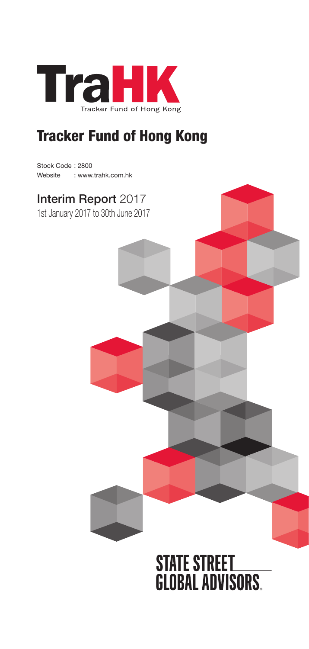

# Tracker Fund of Hong Kong

Stock Code : 2800 Website : www.trahk.com.hk

## Interim Report 2017

1st January 2017 to 30th June 2017



# **STATE STREET<br>GLOBAL ADVISORS.**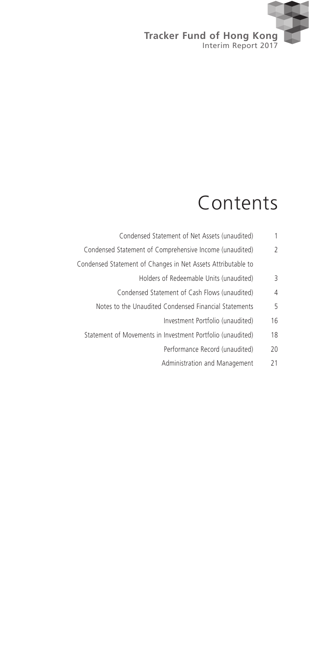

# Contents

- Condensed Statement of Net Assets (unaudited) 1
- Condensed Statement of Comprehensive Income (unaudited) 2
- Condensed Statement of Changes in Net Assets Attributable to
	- Holders of Redeemable Units (unaudited) 3
	- Condensed Statement of Cash Flows (unaudited) 4
	- Notes to the Unaudited Condensed Financial Statements 5
		- Investment Portfolio (unaudited) 16
	- Statement of Movements in Investment Portfolio (unaudited) 18
		- Performance Record (unaudited) 20
		- Administration and Management 21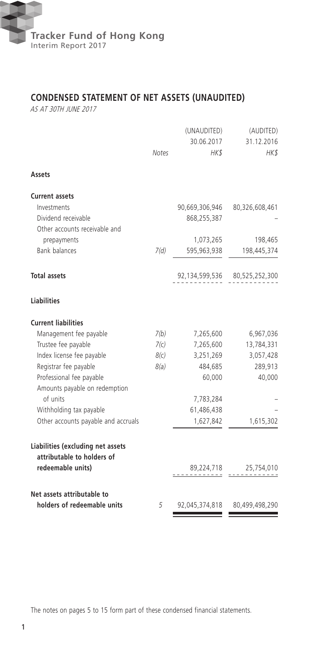

## **CONDENSED STATEMENT OF NET ASSETS (UNAUDITED)**

AS AT 30TH JUNE 2017

|                                                                                      | <b>Notes</b> | (UNAUDITED)<br>30.06.2017<br>HK\$ | (AUDITED)<br>31.12.2016<br>HK\$ |
|--------------------------------------------------------------------------------------|--------------|-----------------------------------|---------------------------------|
| Assets                                                                               |              |                                   |                                 |
| <b>Current assets</b>                                                                |              |                                   |                                 |
| Investments                                                                          |              | 90,669,306,946                    | 80,326,608,461                  |
| Dividend receivable                                                                  |              | 868,255,387                       |                                 |
| Other accounts receivable and                                                        |              |                                   |                                 |
| prepayments                                                                          |              | 1,073,265                         | 198,465                         |
| <b>Bank balances</b>                                                                 | 7(d)         | 595,963,938                       | 198,445,374                     |
| <b>Total assets</b>                                                                  |              |                                   | 92,134,599,536 80,525,252,300   |
| <b>Liabilities</b>                                                                   |              |                                   |                                 |
| <b>Current liabilities</b>                                                           |              |                                   |                                 |
| Management fee payable                                                               | 7(b)         | 7,265,600                         | 6,967,036                       |
| Trustee fee payable                                                                  | 7(c)         | 7,265,600                         | 13,784,331                      |
| Index license fee payable                                                            | 8(c)         | 3,251,269                         | 3,057,428                       |
| Registrar fee payable                                                                | 8(a)         | 484,685                           | 289,913                         |
| Professional fee payable<br>Amounts payable on redemption                            |              | 60,000                            | 40,000                          |
| of units                                                                             |              | 7,783,284                         |                                 |
| Withholding tax payable                                                              |              | 61,486,438                        |                                 |
| Other accounts payable and accruals                                                  |              | 1,627,842                         | 1,615,302                       |
| Liabilities (excluding net assets<br>attributable to holders of<br>redeemable units) |              | 89,224,718                        | 25,754,010                      |
| Net assets attributable to<br>holders of redeemable units                            | 5            | 92,045,374,818                    | 80,499,498,290                  |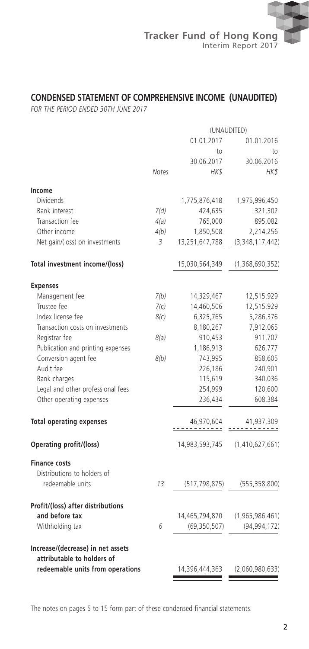

## **CONDENSED STATEMENT OF COMPREHENSIVE INCOME (UNAUDITED)**

*FOR THE PERIOD ENDED 30TH JUNE 2017*

|                                   | (UNAUDITED)  |                 |                 |  |
|-----------------------------------|--------------|-----------------|-----------------|--|
|                                   |              | 01.01.2017      | 01.01.2016      |  |
|                                   |              | to              | to              |  |
|                                   |              | 30.06.2017      | 30.06.2016      |  |
|                                   | <b>Notes</b> | HK\$            | HK\$            |  |
| Income                            |              |                 |                 |  |
| Dividends                         |              | 1,775,876,418   | 1,975,996,450   |  |
| <b>Bank interest</b>              | 7(d)         | 424,635         | 321,302         |  |
| Transaction fee                   | 4(a)         | 765,000         | 895,082         |  |
| Other income                      | 4(b)         | 1,850,508       | 2,214,256       |  |
| Net gain/(loss) on investments    | 3            | 13,251,647,788  | (3,348,117,442) |  |
|                                   |              |                 |                 |  |
| Total investment income/(loss)    |              | 15,030,564,349  | (1,368,690,352) |  |
| <b>Expenses</b>                   |              |                 |                 |  |
| Management fee                    | 7(b)         | 14,329,467      | 12,515,929      |  |
| Trustee fee                       | 7(c)         | 14,460,506      | 12,515,929      |  |
| Index license fee                 | 8(c)         | 6,325,765       | 5,286,376       |  |
| Transaction costs on investments  |              | 8,180,267       | 7,912,065       |  |
| Registrar fee                     | 8(a)         | 910,453         | 911,707         |  |
| Publication and printing expenses |              | 1,186,913       | 626,777         |  |
| Conversion agent fee              | 8(b)         | 743,995         | 858,605         |  |
| Audit fee                         |              | 226,186         | 240,901         |  |
| Bank charges                      |              | 115,619         | 340,036         |  |
| Legal and other professional fees |              | 254,999         | 120,600         |  |
| Other operating expenses          |              | 236,434         | 608,384         |  |
| <b>Total operating expenses</b>   |              | 46,970,604<br>. | 41,937,309      |  |
| Operating profit/(loss)           |              | 14,983,593,745  | (1,410,627,661) |  |
| <b>Finance costs</b>              |              |                 |                 |  |
| Distributions to holders of       |              |                 |                 |  |
| redeemable units                  | 13           | (517, 798, 875) | (555, 358, 800) |  |
|                                   |              |                 |                 |  |
| Profit/(loss) after distributions |              |                 |                 |  |
| and before tax                    |              | 14,465,794,870  | (1,965,986,461) |  |
| Withholding tax                   | 6            | (69, 350, 507)  | (94, 994, 172)  |  |
| Increase/(decrease) in net assets |              |                 |                 |  |
| attributable to holders of        |              |                 |                 |  |
| redeemable units from operations  |              | 14,396,444,363  | (2,060,980,633) |  |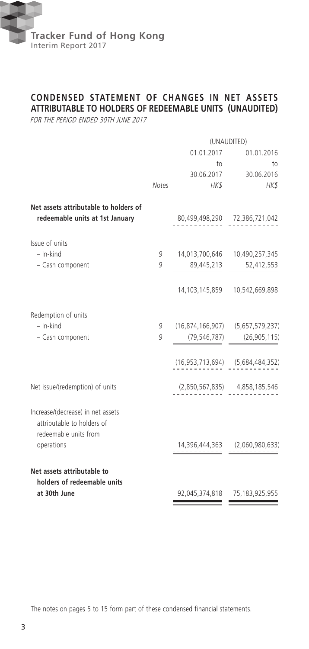

## **CONDENSED STATEMENT OF CHANGES IN NET ASSETS ATTRIBUTABLE TO HOLDERS OF REDEEMABLE UNITS (UNAUDITED)**

FOR THE PERIOD ENDED 30TH JUNE 2017

|                                                                                          | (UNAUDITED)  |                                            |                                       |  |
|------------------------------------------------------------------------------------------|--------------|--------------------------------------------|---------------------------------------|--|
|                                                                                          |              | 01.01.2017                                 | 01.01.2016                            |  |
|                                                                                          |              | to                                         | to                                    |  |
|                                                                                          |              |                                            | 30.06.2017 30.06.2016                 |  |
|                                                                                          | <b>Notes</b> | HK\$                                       | HK\$                                  |  |
| Net assets attributable to holders of<br>redeemable units at 1st January                 |              |                                            | 80,499,498,290 72,386,721,042         |  |
| Issue of units                                                                           |              |                                            |                                       |  |
| $-$ In-kind                                                                              | 9            |                                            | 14,013,700,646 10,490,257,345         |  |
| - Cash component                                                                         | 9            | 89,445,213                                 | 52,412,553                            |  |
|                                                                                          |              |                                            | 14, 103, 145, 859   10, 542, 669, 898 |  |
| Redemption of units                                                                      |              |                                            |                                       |  |
| $-$ In-kind                                                                              | 9            | $(16,874,166,907)$ $(5,657,579,237)$       |                                       |  |
| - Cash component                                                                         | 9            | (79, 546, 787)                             | (26, 905, 115)                        |  |
|                                                                                          |              | $(16, 953, 713, 694)$ $(5, 684, 484, 352)$ |                                       |  |
| Net issue/(redemption) of units                                                          |              |                                            | $(2,850,567,835)$ $4,858,185,546$     |  |
| Increase/(decrease) in net assets<br>attributable to holders of<br>redeemable units from |              |                                            |                                       |  |
| operations                                                                               |              |                                            | $14,396,444,363$ $(2,060,980,633)$    |  |
| Net assets attributable to                                                               |              |                                            |                                       |  |
| holders of redeemable units<br>at 30th June                                              |              |                                            | 92,045,374,818 75,183,925,955         |  |
|                                                                                          |              |                                            |                                       |  |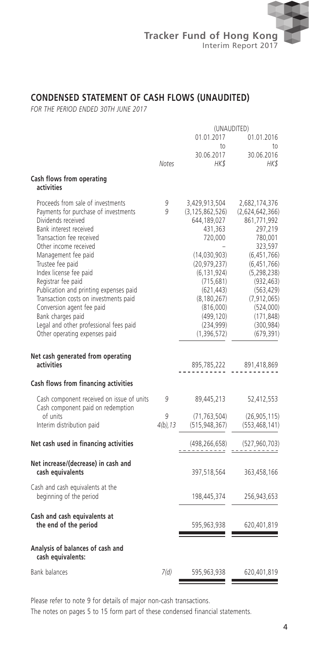

## **CONDENSED STATEMENT OF CASH FLOWS (UNAUDITED)**

*FOR THE PERIOD ENDED 30TH JUNE 2017*

|                                                                                                                                                                                                                                                                                                                                                                                                                                                                                           | (UNAUDITED)      |                                                                                                                                                                                                                                  |                                                                                                                                                                                                                                     |  |
|-------------------------------------------------------------------------------------------------------------------------------------------------------------------------------------------------------------------------------------------------------------------------------------------------------------------------------------------------------------------------------------------------------------------------------------------------------------------------------------------|------------------|----------------------------------------------------------------------------------------------------------------------------------------------------------------------------------------------------------------------------------|-------------------------------------------------------------------------------------------------------------------------------------------------------------------------------------------------------------------------------------|--|
|                                                                                                                                                                                                                                                                                                                                                                                                                                                                                           |                  | 01.01.2017<br>to                                                                                                                                                                                                                 | 01.01.2016<br>to                                                                                                                                                                                                                    |  |
|                                                                                                                                                                                                                                                                                                                                                                                                                                                                                           | <b>Notes</b>     | 30.06.2017<br>HK\$                                                                                                                                                                                                               | 30.06.2016<br>HK\$                                                                                                                                                                                                                  |  |
| Cash flows from operating<br>activities                                                                                                                                                                                                                                                                                                                                                                                                                                                   |                  |                                                                                                                                                                                                                                  |                                                                                                                                                                                                                                     |  |
| Proceeds from sale of investments<br>Payments for purchase of investments<br>Dividends received<br>Bank interest received<br>Transaction fee received<br>Other income received<br>Management fee paid<br>Trustee fee paid<br>Index license fee paid<br>Registrar fee paid<br>Publication and printing expenses paid<br>Transaction costs on investments paid<br>Conversion agent fee paid<br>Bank charges paid<br>Legal and other professional fees paid<br>Other operating expenses paid | 9<br>9           | 3,429,913,504<br>(3, 125, 862, 526)<br>644,189,027<br>431,363<br>720,000<br>(14,030,903)<br>(20, 979, 237)<br>(6, 131, 924)<br>(715, 681)<br>(621, 443)<br>(8, 180, 267)<br>(816,000)<br>(499, 120)<br>(234, 999)<br>(1,396,572) | 2,682,174,376<br>(2,624,642,366)<br>861,771,992<br>297,219<br>780,001<br>323,597<br>(6,451,766)<br>(6,451,766)<br>(5, 298, 238)<br>(932, 463)<br>(563, 429)<br>(7, 912, 065)<br>(524,000)<br>(171, 848)<br>(300, 984)<br>(679, 391) |  |
| Net cash generated from operating<br>activities                                                                                                                                                                                                                                                                                                                                                                                                                                           |                  | 895,785,222                                                                                                                                                                                                                      | 891,418,869                                                                                                                                                                                                                         |  |
| Cash flows from financing activities                                                                                                                                                                                                                                                                                                                                                                                                                                                      |                  |                                                                                                                                                                                                                                  |                                                                                                                                                                                                                                     |  |
| Cash component received on issue of units<br>Cash component paid on redemption                                                                                                                                                                                                                                                                                                                                                                                                            | 9                | 89,445,213                                                                                                                                                                                                                       | 52,412,553                                                                                                                                                                                                                          |  |
| of units<br>Interim distribution paid                                                                                                                                                                                                                                                                                                                                                                                                                                                     | 9<br>$4(b)$ , 13 | (71, 763, 504)<br>(515, 948, 367)                                                                                                                                                                                                | (26, 905, 115)<br>(553, 468, 141)                                                                                                                                                                                                   |  |
| Net cash used in financing activities                                                                                                                                                                                                                                                                                                                                                                                                                                                     |                  | (498, 266, 658)                                                                                                                                                                                                                  | (527, 960, 703)                                                                                                                                                                                                                     |  |
| Net increase/(decrease) in cash and<br>cash equivalents                                                                                                                                                                                                                                                                                                                                                                                                                                   |                  | 397,518,564                                                                                                                                                                                                                      | 363,458,166                                                                                                                                                                                                                         |  |
| Cash and cash equivalents at the<br>beginning of the period                                                                                                                                                                                                                                                                                                                                                                                                                               |                  | 198,445,374                                                                                                                                                                                                                      | 256,943,653                                                                                                                                                                                                                         |  |
| Cash and cash equivalents at<br>the end of the period                                                                                                                                                                                                                                                                                                                                                                                                                                     |                  | 595,963,938                                                                                                                                                                                                                      | 620,401,819                                                                                                                                                                                                                         |  |
| Analysis of balances of cash and<br>cash equivalents:                                                                                                                                                                                                                                                                                                                                                                                                                                     |                  |                                                                                                                                                                                                                                  |                                                                                                                                                                                                                                     |  |
| Bank balances                                                                                                                                                                                                                                                                                                                                                                                                                                                                             | 7(d)             | 595,963,938                                                                                                                                                                                                                      | 620,401,819                                                                                                                                                                                                                         |  |

Please refer to note 9 for details of major non-cash transactions.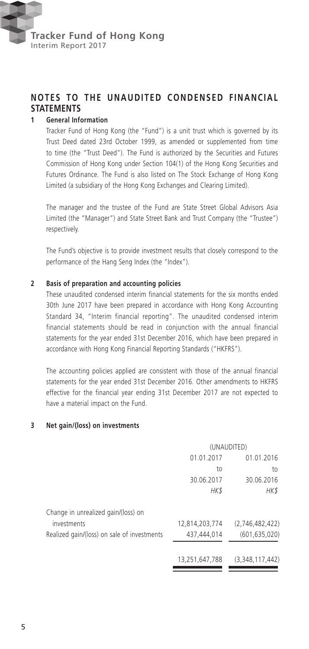

## **NOTES TO THE UNAUDITED CONDENSED FINANCIAL STATEMENTS**

#### **1 General Information**

Tracker Fund of Hong Kong (the "Fund") is a unit trust which is governed by its Trust Deed dated 23rd October 1999, as amended or supplemented from time to time (the "Trust Deed"). The Fund is authorized by the Securities and Futures Commission of Hong Kong under Section 104(1) of the Hong Kong Securities and Futures Ordinance. The Fund is also listed on The Stock Exchange of Hong Kong Limited (a subsidiary of the Hong Kong Exchanges and Clearing Limited).

The manager and the trustee of the Fund are State Street Global Advisors Asia Limited (the "Manager") and State Street Bank and Trust Company (the "Trustee") respectively.

The Fund's objective is to provide investment results that closely correspond to the performance of the Hang Seng Index (the "Index").

#### **2 Basis of preparation and accounting policies**

These unaudited condensed interim financial statements for the six months ended 30th June 2017 have been prepared in accordance with Hong Kong Accounting Standard 34, "Interim financial reporting". The unaudited condensed interim financial statements should be read in conjunction with the annual financial statements for the year ended 31st December 2016, which have been prepared in accordance with Hong Kong Financial Reporting Standards ("HKFRS").

The accounting policies applied are consistent with those of the annual financial statements for the year ended 31st December 2016. Other amendments to HKFRS effective for the financial year ending 31st December 2017 are not expected to have a material impact on the Fund.

#### **3 Net gain/(loss) on investments**

|                                             | (UNAUDITED)    |                 |  |
|---------------------------------------------|----------------|-----------------|--|
|                                             | 01.01.2017     | 01.01.2016      |  |
|                                             | to             | to              |  |
|                                             | 30.06.2017     | 30.06.2016      |  |
|                                             | HK\$           | HK\$            |  |
| Change in unrealized gain/(loss) on         |                |                 |  |
| investments                                 | 12,814,203,774 | (2,746,482,422) |  |
| Realized gain/(loss) on sale of investments | 437.444.014    | (601, 635, 020) |  |
|                                             | 13.251.647.788 | (3,348,117,442) |  |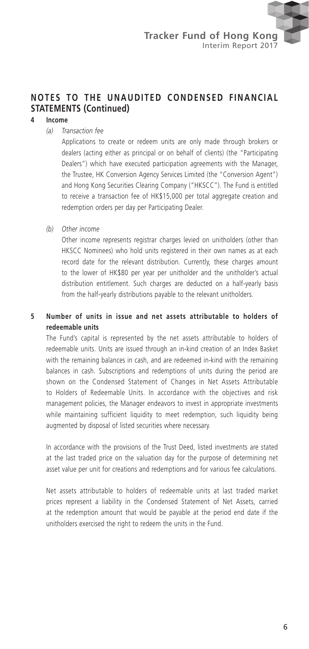#### **4 Income**

*(a) Transaction fee*

Applications to create or redeem units are only made through brokers or dealers (acting either as principal or on behalf of clients) (the "Participating Dealers") which have executed participation agreements with the Manager, the Trustee, HK Conversion Agency Services Limited (the "Conversion Agent") and Hong Kong Securities Clearing Company ("HKSCC"). The Fund is entitled to receive a transaction fee of HK\$15,000 per total aggregate creation and redemption orders per day per Participating Dealer.

*(b) Other income*

Other income represents registrar charges levied on unitholders (other than HKSCC Nominees) who hold units registered in their own names as at each record date for the relevant distribution. Currently, these charges amount to the lower of HK\$80 per year per unitholder and the unitholder's actual distribution entitlement. Such charges are deducted on a half-yearly basis from the half-yearly distributions payable to the relevant unitholders.

#### **5 Number of units in issue and net assets attributable to holders of redeemable units**

The Fund's capital is represented by the net assets attributable to holders of redeemable units. Units are issued through an in-kind creation of an Index Basket with the remaining balances in cash, and are redeemed in-kind with the remaining balances in cash. Subscriptions and redemptions of units during the period are shown on the Condensed Statement of Changes in Net Assets Attributable to Holders of Redeemable Units. In accordance with the objectives and risk management policies, the Manager endeavors to invest in appropriate investments while maintaining sufficient liquidity to meet redemption, such liquidity being augmented by disposal of listed securities where necessary.

In accordance with the provisions of the Trust Deed, listed investments are stated at the last traded price on the valuation day for the purpose of determining net asset value per unit for creations and redemptions and for various fee calculations.

Net assets attributable to holders of redeemable units at last traded market prices represent a liability in the Condensed Statement of Net Assets, carried at the redemption amount that would be payable at the period end date if the unitholders exercised the right to redeem the units in the Fund.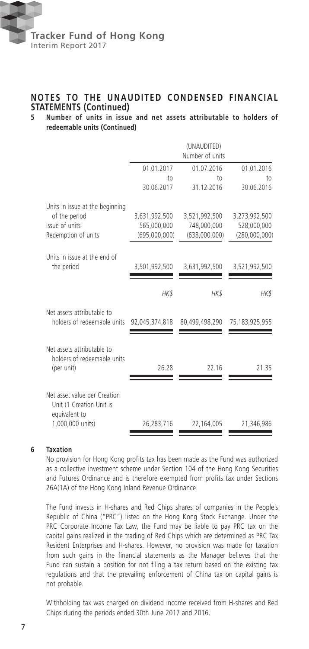

## **NOTES TO THE UNAUDITED CONDENSED FINANCIAL STATEMENTS (Continued)**<br>5 Number of units in issue

#### **5 Number of units in issue and net assets attributable to holders of redeemable units (Continued)**

|                                                                                               |                                               | (UNAUDITED)<br>Number of units                |                                               |
|-----------------------------------------------------------------------------------------------|-----------------------------------------------|-----------------------------------------------|-----------------------------------------------|
|                                                                                               | 01.01.2017                                    | 01.07.2016                                    | 01.01.2016                                    |
|                                                                                               | to<br>30.06.2017                              | $†$<br>31.12.2016                             | $†$<br>30.06.2016                             |
| Units in issue at the beginning<br>of the period<br>Issue of units<br>Redemption of units     | 3,631,992,500<br>565,000,000<br>(695,000,000) | 3,521,992,500<br>748,000,000<br>(638,000,000) | 3,273,992,500<br>528,000,000<br>(280,000,000) |
| Units in issue at the end of<br>the period                                                    | 3,501,992,500                                 | 3,631,992,500                                 | 3,521,992,500                                 |
|                                                                                               | HK\$                                          | HK\$                                          | HK\$                                          |
| Net assets attributable to<br>holders of redeemable units                                     | 92,045,374,818                                | 80,499,498,290                                | 75,183,925,955                                |
| Net assets attributable to<br>holders of redeemable units<br>(per unit)                       | 26.28                                         | 22.16                                         | 21.35                                         |
| Net asset value per Creation<br>Unit (1 Creation Unit is<br>equivalent to<br>1,000,000 units) | 26,283,716                                    | 22,164,005                                    | 21,346,986                                    |

#### **6 Taxation**

No provision for Hong Kong profits tax has been made as the Fund was authorized as a collective investment scheme under Section 104 of the Hong Kong Securities and Futures Ordinance and is therefore exempted from profits tax under Sections 26A(1A) of the Hong Kong Inland Revenue Ordinance.

The Fund invests in H-shares and Red Chips shares of companies in the People's Republic of China ("PRC") listed on the Hong Kong Stock Exchange. Under the PRC Corporate Income Tax Law, the Fund may be liable to pay PRC tax on the capital gains realized in the trading of Red Chips which are determined as PRC Tax Resident Enterprises and H-shares. However, no provision was made for taxation from such gains in the financial statements as the Manager believes that the Fund can sustain a position for not filing a tax return based on the existing tax regulations and that the prevailing enforcement of China tax on capital gains is not probable.

Withholding tax was charged on dividend income received from H-shares and Red Chips during the periods ended 30th June 2017 and 2016.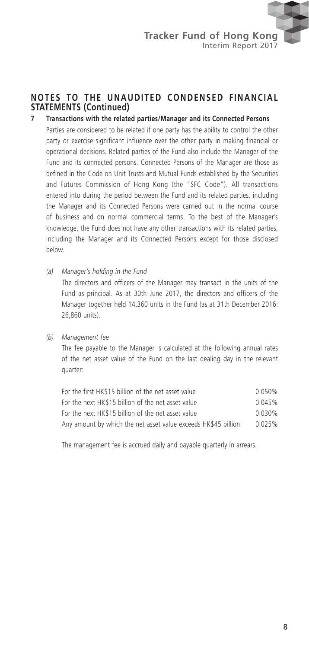- **7 Transactions with the related parties/Manager and its Connected Persons** Parties are considered to be related if one party has the ability to control the other party or exercise significant influence over the other party in making financial or operational decisions. Related parties of the Fund also include the Manager of the Fund and its connected persons. Connected Persons of the Manager are those as defined in the Code on Unit Trusts and Mutual Funds established by the Securities and Futures Commission of Hong Kong (the "SFC Code"). All transactions entered into during the period between the Fund and its related parties, including the Manager and its Connected Persons were carried out in the normal course of business and on normal commercial terms. To the best of the Manager's knowledge, the Fund does not have any other transactions with its related parties, including the Manager and its Connected Persons except for those disclosed below.
	- *(a) Manager's holding in the Fund*

The directors and officers of the Manager may transact in the units of the Fund as principal. As at 30th June 2017, the directors and officers of the Manager together held 14,360 units in the Fund (as at 31th December 2016: 26,860 units).

#### *(b) Management fee*

The fee payable to the Manager is calculated at the following annual rates of the net asset value of the Fund on the last dealing day in the relevant quarter:

| For the first HK\$15 billion of the net asset value            | 0.050%    |
|----------------------------------------------------------------|-----------|
| For the next HK\$15 billion of the net asset value             | 0.045%    |
| For the next HK\$15 billion of the net asset value             | $0.030\%$ |
| Any amount by which the net asset value exceeds HK\$45 billion | 0.025%    |

The management fee is accrued daily and payable quarterly in arrears.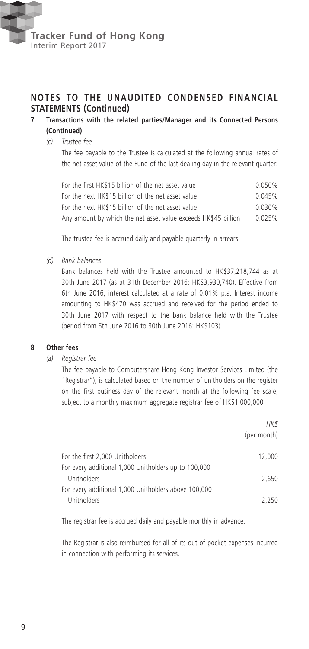

#### **7 Transactions with the related parties/Manager and its Connected Persons (Continued)**

#### *(c) Trustee fee*

The fee payable to the Trustee is calculated at the following annual rates of the net asset value of the Fund of the last dealing day in the relevant quarter:

| For the first HK\$15 billion of the net asset value            | 0.050%    |
|----------------------------------------------------------------|-----------|
| For the next HK\$15 billion of the net asset value             | 0.045%    |
| For the next HK\$15 billion of the net asset value             | $0.030\%$ |
| Any amount by which the net asset value exceeds HK\$45 billion | 0.025%    |

The trustee fee is accrued daily and payable quarterly in arrears.

*(d) Bank balances*

Bank balances held with the Trustee amounted to HK\$37,218,744 as at 30th June 2017 (as at 31th December 2016: HK\$3,930,740). Effective from 6th June 2016, interest calculated at a rate of 0.01% p.a. Interest income amounting to HK\$470 was accrued and received for the period ended to 30th June 2017 with respect to the bank balance held with the Trustee (period from 6th June 2016 to 30th June 2016: HK\$103).

#### **8 Other fees**

*(a) Registrar fee*

The fee payable to Computershare Hong Kong Investor Services Limited (the "Registrar"), is calculated based on the number of unitholders on the register on the first business day of the relevant month at the following fee scale, subject to a monthly maximum aggregate registrar fee of HK\$1,000,000.

|                                                      | HK\$<br>(per month) |
|------------------------------------------------------|---------------------|
| For the first 2,000 Unitholders                      | 12,000              |
| For every additional 1,000 Unitholders up to 100,000 |                     |
| Unitholders                                          | 2.650               |
| For every additional 1,000 Unitholders above 100,000 |                     |
| Unitholders                                          | 2.250               |

The registrar fee is accrued daily and payable monthly in advance.

The Registrar is also reimbursed for all of its out-of-pocket expenses incurred in connection with performing its services.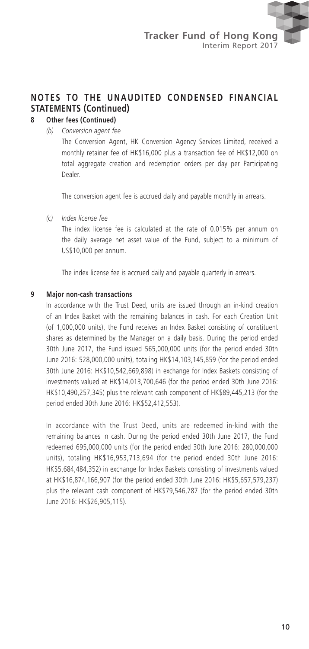### **8 Other fees (Continued)**

*(b) Conversion agent fee*

The Conversion Agent, HK Conversion Agency Services Limited, received a monthly retainer fee of HK\$16,000 plus a transaction fee of HK\$12,000 on total aggregate creation and redemption orders per day per Participating Dealer.

The conversion agent fee is accrued daily and payable monthly in arrears.

*(c) Index license fee*

The index license fee is calculated at the rate of 0.015% per annum on the daily average net asset value of the Fund, subject to a minimum of US\$10,000 per annum.

The index license fee is accrued daily and payable quarterly in arrears.

#### **9 Major non-cash transactions**

In accordance with the Trust Deed, units are issued through an in-kind creation of an Index Basket with the remaining balances in cash. For each Creation Unit (of 1,000,000 units), the Fund receives an Index Basket consisting of constituent shares as determined by the Manager on a daily basis. During the period ended 30th June 2017, the Fund issued 565,000,000 units (for the period ended 30th June 2016: 528,000,000 units), totaling HK\$14,103,145,859 (for the period ended 30th June 2016: HK\$10,542,669,898) in exchange for Index Baskets consisting of investments valued at HK\$14,013,700,646 (for the period ended 30th June 2016: HK\$10,490,257,345) plus the relevant cash component of HK\$89,445,213 (for the period ended 30th June 2016: HK\$52,412,553).

In accordance with the Trust Deed, units are redeemed in-kind with the remaining balances in cash. During the period ended 30th June 2017, the Fund redeemed 695,000,000 units (for the period ended 30th June 2016: 280,000,000 units), totaling HK\$16,953,713,694 (for the period ended 30th June 2016: HK\$5,684,484,352) in exchange for Index Baskets consisting of investments valued at HK\$16,874,166,907 (for the period ended 30th June 2016: HK\$5,657,579,237) plus the relevant cash component of HK\$79,546,787 (for the period ended 30th June 2016: HK\$26,905,115).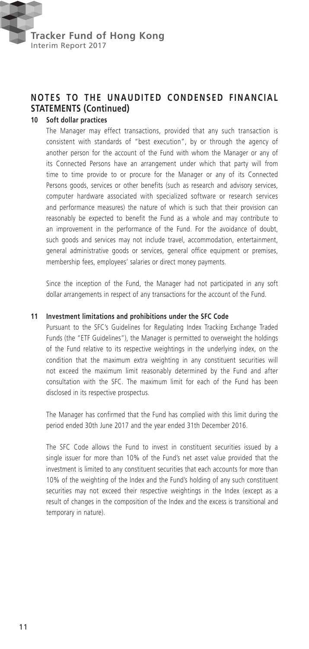

#### **10 Soft dollar practices**

The Manager may effect transactions, provided that any such transaction is consistent with standards of "best execution", by or through the agency of another person for the account of the Fund with whom the Manager or any of its Connected Persons have an arrangement under which that party will from time to time provide to or procure for the Manager or any of its Connected Persons goods, services or other benefits (such as research and advisory services, computer hardware associated with specialized software or research services and performance measures) the nature of which is such that their provision can reasonably be expected to benefit the Fund as a whole and may contribute to an improvement in the performance of the Fund. For the avoidance of doubt, such goods and services may not include travel, accommodation, entertainment, general administrative goods or services, general office equipment or premises, membership fees, employees' salaries or direct money payments.

Since the inception of the Fund, the Manager had not participated in any soft dollar arrangements in respect of any transactions for the account of the Fund.

#### **11 Investment limitations and prohibitions under the SFC Code**

Pursuant to the SFC's Guidelines for Regulating Index Tracking Exchange Traded Funds (the "ETF Guidelines"), the Manager is permitted to overweight the holdings of the Fund relative to its respective weightings in the underlying index, on the condition that the maximum extra weighting in any constituent securities will not exceed the maximum limit reasonably determined by the Fund and after consultation with the SFC. The maximum limit for each of the Fund has been disclosed in its respective prospectus.

The Manager has confirmed that the Fund has complied with this limit during the period ended 30th June 2017 and the year ended 31th December 2016.

The SFC Code allows the Fund to invest in constituent securities issued by a single issuer for more than 10% of the Fund's net asset value provided that the investment is limited to any constituent securities that each accounts for more than 10% of the weighting of the Index and the Fund's holding of any such constituent securities may not exceed their respective weightings in the Index (except as a result of changes in the composition of the Index and the excess is transitional and temporary in nature).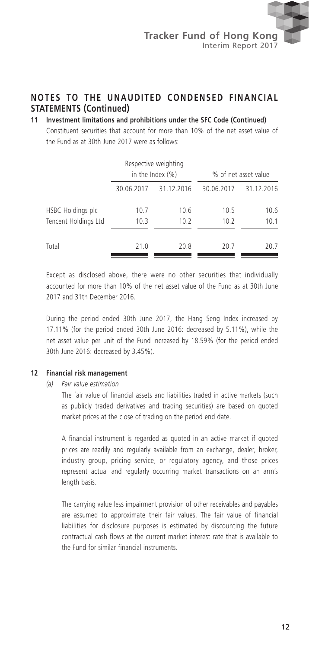#### **11 Investment limitations and prohibitions under the SFC Code (Continued)**

Constituent securities that account for more than 10% of the net asset value of the Fund as at 30th June 2017 were as follows:

|                                           |              | Respective weighting<br>in the Index $(\%)$ |              | % of net asset value |
|-------------------------------------------|--------------|---------------------------------------------|--------------|----------------------|
|                                           | 30.06.2017   | 31.12.2016                                  | 30.06.2017   | 31.12.2016           |
| HSBC Holdings plc<br>Tencent Holdings Ltd | 10.7<br>10.3 | 10.6<br>10.2                                | 10.5<br>10.2 | 10.6<br>10.1         |
| Total                                     | 21.0         | 20.8                                        | 20.7         | 20.7                 |

Except as disclosed above, there were no other securities that individually accounted for more than 10% of the net asset value of the Fund as at 30th June 2017 and 31th December 2016

During the period ended 30th June 2017, the Hang Seng Index increased by 17.11% (for the period ended 30th June 2016: decreased by 5.11%), while the net asset value per unit of the Fund increased by 18.59% (for the period ended 30th June 2016: decreased by 3.45%).

#### **12 Financial risk management**

*(a) Fair value estimation*

The fair value of financial assets and liabilities traded in active markets (such as publicly traded derivatives and trading securities) are based on quoted market prices at the close of trading on the period end date.

A financial instrument is regarded as quoted in an active market if quoted prices are readily and regularly available from an exchange, dealer, broker, industry group, pricing service, or regulatory agency, and those prices represent actual and regularly occurring market transactions on an arm's length basis.

The carrying value less impairment provision of other receivables and payables are assumed to approximate their fair values. The fair value of financial liabilities for disclosure purposes is estimated by discounting the future contractual cash flows at the current market interest rate that is available to the Fund for similar financial instruments.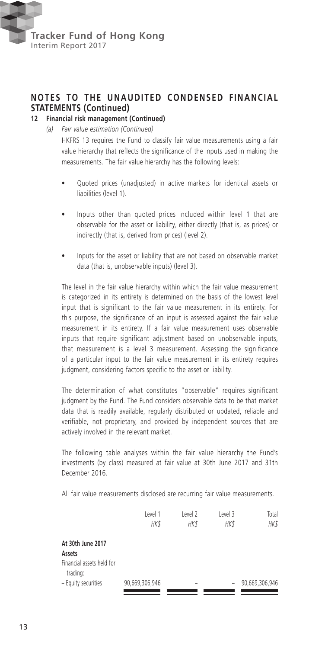

#### **12 Financial risk management (Continued)**

*(a) Fair value estimation (Continued)*

HKFRS 13 requires the Fund to classify fair value measurements using a fair value hierarchy that reflects the significance of the inputs used in making the measurements. The fair value hierarchy has the following levels:

- Quoted prices (unadjusted) in active markets for identical assets or liabilities (level 1).
- Inputs other than quoted prices included within level 1 that are observable for the asset or liability, either directly (that is, as prices) or indirectly (that is, derived from prices) (level 2).
- Inputs for the asset or liability that are not based on observable market data (that is, unobservable inputs) (level 3).

The level in the fair value hierarchy within which the fair value measurement is categorized in its entirety is determined on the basis of the lowest level input that is significant to the fair value measurement in its entirety. For this purpose, the significance of an input is assessed against the fair value measurement in its entirety. If a fair value measurement uses observable inputs that require significant adjustment based on unobservable inputs, that measurement is a level 3 measurement. Assessing the significance of a particular input to the fair value measurement in its entirety requires judgment, considering factors specific to the asset or liability.

The determination of what constitutes "observable" requires significant judgment by the Fund. The Fund considers observable data to be that market data that is readily available, regularly distributed or updated, reliable and verifiable, not proprietary, and provided by independent sources that are actively involved in the relevant market.

The following table analyses within the fair value hierarchy the Fund's investments (by class) measured at fair value at 30th June 2017 and 31th December 2016.

All fair value measurements disclosed are recurring fair value measurements.

|                                       | Level 1        | Level 2 | Level 3 | Total          |
|---------------------------------------|----------------|---------|---------|----------------|
|                                       | <b>HK\$</b>    | HK\$    | HK\$    | HK\$           |
| At 30th June 2017                     |                |         |         |                |
| Assets                                |                |         |         |                |
| Financial assets held for<br>trading: |                |         |         |                |
| - Equity securities                   | 90,669,306,946 | -       |         | 90,669,306,946 |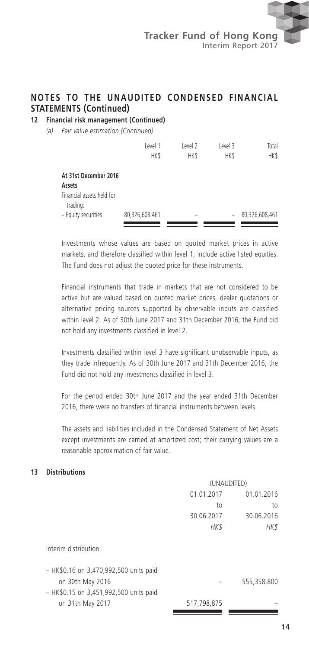**12 Financial risk management (Continued)**

*(a) Fair value estimation (Continued)*

|                                                                          | Level 1<br><b>HKS</b> | Level 2<br><b>HKS</b>    | Level 3<br><b>HKS</b> | Total<br>HK\$  |
|--------------------------------------------------------------------------|-----------------------|--------------------------|-----------------------|----------------|
| At 31st December 2016<br>Assets<br>Financial assets held for<br>trading: |                       |                          |                       |                |
| - Equity securities                                                      | 80,326,608,461        | $\overline{\phantom{a}}$ | -                     | 80,326,608,461 |

Investments whose values are based on quoted market prices in active markets, and therefore classified within level 1, include active listed equities. The Fund does not adjust the quoted price for these instruments.

Financial instruments that trade in markets that are not considered to be active but are valued based on quoted market prices, dealer quotations or alternative pricing sources supported by observable inputs are classified within level 2. As of 30th June 2017 and 31th December 2016, the Fund did not hold any investments classified in level 2.

Investments classified within level 3 have significant unobservable inputs, as they trade infrequently. As of 30th June 2017 and 31th December 2016, the Fund did not hold any investments classified in level 3.

For the period ended 30th June 2017 and the year ended 31th December 2016, there were no transfers of financial instruments between levels.

The assets and liabilities included in the Condensed Statement of Net Assets except investments are carried at amortized cost; their carrying values are a reasonable approximation of fair value.

#### **13 Distributions**

|                                                            | (UNAUDITED) |             |  |
|------------------------------------------------------------|-------------|-------------|--|
|                                                            | 01.01.2017  | 01.01.2016  |  |
|                                                            | to          | to          |  |
|                                                            | 30.06.2017  | 30.06.2016  |  |
|                                                            | HK\$        | HK\$        |  |
| Interim distribution                                       |             |             |  |
| - HK\$0.16 on 3,470,992,500 units paid<br>on 30th May 2016 |             | 555,358,800 |  |
| - HK\$0.15 on 3,451,992,500 units paid                     |             |             |  |
| on 31th May 2017                                           | 517,798,875 |             |  |
|                                                            |             |             |  |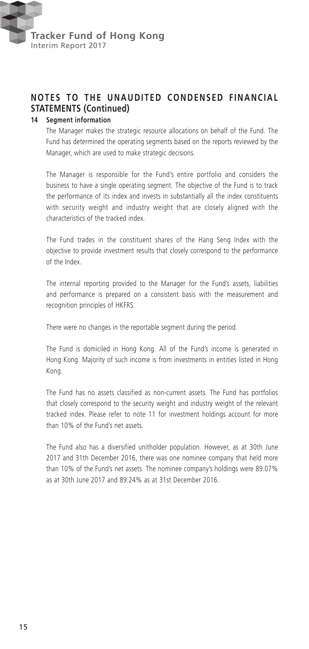

#### **14 Segment information**

The Manager makes the strategic resource allocations on behalf of the Fund. The Fund has determined the operating segments based on the reports reviewed by the Manager, which are used to make strategic decisions.

The Manager is responsible for the Fund's entire portfolio and considers the business to have a single operating segment. The objective of the Fund is to track the performance of its index and invests in substantially all the index constituents with security weight and industry weight that are closely aligned with the characteristics of the tracked index.

The Fund trades in the constituent shares of the Hang Seng Index with the objective to provide investment results that closely correspond to the performance of the Index.

The internal reporting provided to the Manager for the Fund's assets, liabilities and performance is prepared on a consistent basis with the measurement and recognition principles of HKFRS.

There were no changes in the reportable segment during the period.

The Fund is domiciled in Hong Kong. All of the Fund's income is generated in Hong Kong. Majority of such income is from investments in entities listed in Hong Kong.

The Fund has no assets classified as non-current assets. The Fund has portfolios that closely correspond to the security weight and industry weight of the relevant tracked index. Please refer to note 11 for investment holdings account for more than 10% of the Fund's net assets.

The Fund also has a diversified unitholder population. However, as at 30th June 2017 and 31th December 2016, there was one nominee company that held more than 10% of the Fund's net assets. The nominee company's holdings were 89.07% as at 30th June 2017 and 89.24% as at 31st December 2016.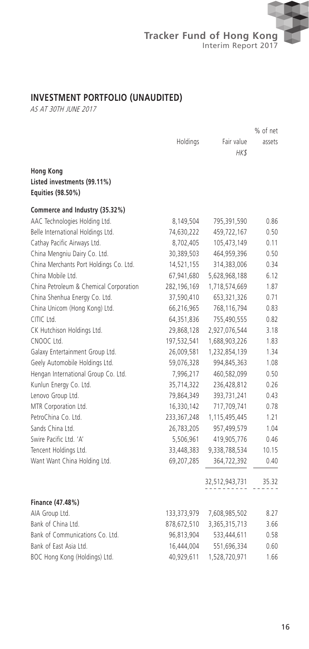

## **INVESTMENT PORTFOLIO (UNAUDITED)**

AS AT 30TH JUNE 2017

|                                                                      |             |                | % of net |
|----------------------------------------------------------------------|-------------|----------------|----------|
|                                                                      | Holdings    | Fair value     | assets   |
|                                                                      |             | HK\$           |          |
| <b>Hong Kong</b><br>Listed investments (99.11%)<br>Equities (98.50%) |             |                |          |
| Commerce and Industry (35.32%)                                       |             |                |          |
| AAC Technologies Holding Ltd.                                        | 8,149,504   | 795,391,590    | 0.86     |
| Belle International Holdings Ltd.                                    | 74,630,222  | 459,722,167    | 0.50     |
| Cathay Pacific Airways Ltd.                                          | 8,702,405   | 105,473,149    | 0.11     |
| China Mengniu Dairy Co. Ltd.                                         | 30,389,503  | 464,959,396    | 0.50     |
| China Merchants Port Holdings Co. Ltd.                               | 14,521,155  | 314,383,006    | 0.34     |
| China Mobile Ltd.                                                    | 67,941,680  | 5,628,968,188  | 6.12     |
| China Petroleum & Chemical Corporation                               | 282,196,169 | 1,718,574,669  | 1.87     |
| China Shenhua Energy Co. Ltd.                                        | 37,590,410  | 653,321,326    | 0.71     |
| China Unicom (Hong Kong) Ltd.                                        | 66,216,965  | 768,116,794    | 0.83     |
| CITIC Ltd.                                                           | 64,351,836  | 755,490,555    | 0.82     |
| CK Hutchison Holdings Ltd.                                           | 29,868,128  | 2,927,076,544  | 3.18     |
| CNOOC Ltd.                                                           | 197,532,541 | 1,688,903,226  | 1.83     |
| Galaxy Entertainment Group Ltd.                                      | 26,009,581  | 1,232,854,139  | 1.34     |
| Geely Automobile Holdings Ltd.                                       | 59,076,328  | 994,845,363    | 1.08     |
| Hengan International Group Co. Ltd.                                  | 7,996,217   | 460,582,099    | 0.50     |
| Kunlun Energy Co. Ltd.                                               | 35,714,322  | 236,428,812    | 0.26     |
| Lenovo Group Ltd.                                                    | 79,864,349  | 393,731,241    | 0.43     |
| MTR Corporation Ltd.                                                 | 16,330,142  | 717,709,741    | 0.78     |
| PetroChina Co. Ltd.                                                  | 233,367,248 | 1,115,495,445  | 1.21     |
| Sands China Ltd.                                                     | 26,783,205  | 957,499,579    | 1.04     |
| Swire Pacific Ltd. 'A'                                               | 5,506,961   | 419,905,776    | 0.46     |
| Tencent Holdings Ltd.                                                | 33,448,383  | 9,338,788,534  | 10.15    |
| Want Want China Holding Ltd.                                         | 69,207,285  | 364,722,392    | 0.40     |
|                                                                      |             | 32,512,943,731 | 35.32    |
| Finance (47.48%)                                                     |             |                |          |
| AIA Group Ltd.                                                       | 133,373,979 | 7,608,985,502  | 8.27     |
| Bank of China Ltd.                                                   | 878,672,510 | 3,365,315,713  | 3.66     |
| Bank of Communications Co. Ltd.                                      | 96,813,904  | 533,444,611    | 0.58     |
| Bank of East Asia Ltd.                                               | 16,444,004  | 551,696,334    | 0.60     |
| BOC Hong Kong (Holdings) Ltd.                                        | 40,929,611  | 1,528,720,971  | 1.66     |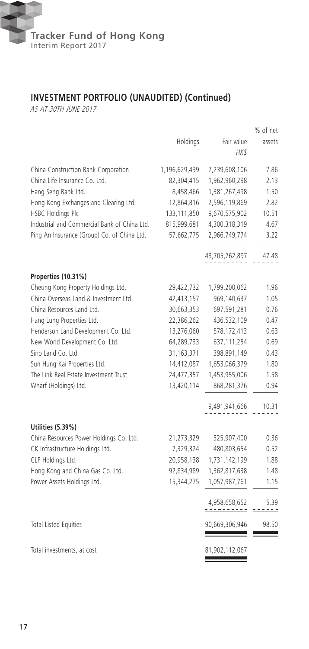

## **INVESTMENT PORTFOLIO (UNAUDITED) (Continued)**

AS AT 30TH JUNE 2017

|                                                           |               |                    | % of net |
|-----------------------------------------------------------|---------------|--------------------|----------|
|                                                           | Holdings      | Fair value<br>HK\$ | assets   |
| China Construction Bank Corporation                       | 1,196,629,439 | 7,239,608,106      | 7.86     |
| China Life Insurance Co. Ltd.                             | 82,304,415    | 1,962,960,298      | 2.13     |
| Hang Seng Bank Ltd.                                       | 8,458,466     | 1,381,267,498      | 1.50     |
| Hong Kong Exchanges and Clearing Ltd.                     | 12,864,816    | 2,596,119,869      | 2.82     |
| <b>HSBC Holdings Plc</b>                                  | 133,111,850   | 9,670,575,902      | 10.51    |
| Industrial and Commercial Bank of China Ltd.              | 815,999,681   | 4,300,318,319      | 4.67     |
| Ping An Insurance (Group) Co. of China Ltd.               | 57,662,775    | 2,966,749,774      | 3.22     |
|                                                           |               | 43,705,762,897     | 47.48    |
|                                                           |               |                    |          |
| Properties (10.31%)<br>Cheung Kong Property Holdings Ltd. | 29,422,732    | 1,799,200,062      | 1.96     |
| China Overseas Land & Investment Ltd.                     | 42,413,157    | 969,140,637        | 1.05     |
| China Resources Land Ltd.                                 | 30,663,353    | 697,591,281        | 0.76     |
| Hang Lung Properties Ltd.                                 | 22,386,262    | 436,532,109        | 0.47     |
| Henderson Land Development Co. Ltd.                       | 13,276,060    | 578,172,413        | 0.63     |
| New World Development Co. Ltd.                            | 64,289,733    | 637, 111, 254      | 0.69     |
| Sino Land Co. Ltd.                                        | 31,163,371    | 398,891,149        | 0.43     |
| Sun Hung Kai Properties Ltd.                              | 14,412,087    | 1,653,066,379      | 1.80     |
| The Link Real Estate Investment Trust                     | 24,477,357    | 1,453,955,006      | 1.58     |
| Wharf (Holdings) Ltd.                                     | 13,420,114    | 868,281,376        | 0.94     |
|                                                           |               | 9,491,941,666      | 10.31    |
| Utilities (5.39%)                                         |               |                    |          |
| China Resources Power Holdings Co. Ltd.                   | 21,273,329    | 325,907,400        | 0.36     |
| CK Infrastructure Holdings Ltd.                           | 7,329,324     | 480,803,654        | 0.52     |
| CLP Holdings Ltd.                                         | 20,958,138    | 1,731,142,199      | 1.88     |
| Hong Kong and China Gas Co. Ltd.                          | 92,834,989    | 1,362,817,638      | 1.48     |
| Power Assets Holdings Ltd.                                | 15,344,275    | 1,057,987,761      | 1.15     |
|                                                           |               | 4,958,658,652      | 5.39     |
| <b>Total Listed Equities</b>                              |               | 90,669,306,946     | 98.50    |
| Total investments, at cost                                |               | 81,902,112,067     |          |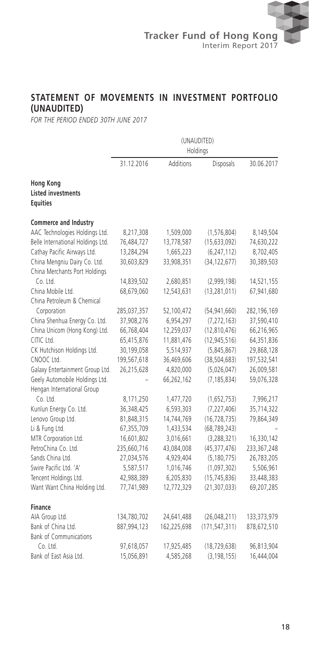## **STATEMENT OF MOVEMENTS IN INVESTMENT PORTFOLIO (UNAUDITED)**

*FOR THE PERIOD ENDED 30TH JUNE 2017*

|                                                                  | (UNAUDITED)<br>Holdings |             |                 |             |
|------------------------------------------------------------------|-------------------------|-------------|-----------------|-------------|
|                                                                  | 31.12.2016              | Additions   | Disposals       | 30.06.2017  |
| <b>Hong Kong</b><br><b>Listed investments</b><br><b>Equities</b> |                         |             |                 |             |
| Commerce and Industry                                            |                         |             |                 |             |
| AAC Technologies Holdings Ltd.                                   | 8,217,308               | 1,509,000   | (1, 576, 804)   | 8,149,504   |
| Belle International Holdings Ltd.                                | 76,484,727              | 13,778,587  | (15, 633, 092)  | 74,630,222  |
| Cathay Pacific Airways Ltd.                                      | 13,284,294              | 1,665,223   | (6, 247, 112)   | 8,702,405   |
| China Mengniu Dairy Co. Ltd.<br>China Merchants Port Holdings    | 30,603,829              | 33,908,351  | (34, 122, 677)  | 30,389,503  |
| Co. Ltd.                                                         | 14,839,502              | 2,680,851   | (2,999,198)     | 14,521,155  |
| China Mobile Ltd.                                                | 68,679,060              | 12,543,631  | (13, 281, 011)  | 67,941,680  |
| China Petroleum & Chemical                                       |                         |             |                 |             |
| Corporation                                                      | 285,037,357             | 52,100,472  | (54, 941, 660)  | 282,196,169 |
| China Shenhua Energy Co. Ltd.                                    | 37,908,276              | 6,954,297   | (7, 272, 163)   | 37,590,410  |
| China Unicom (Hong Kong) Ltd.                                    | 66,768,404              | 12,259,037  | (12, 810, 476)  | 66,216,965  |
| CITIC Ltd.                                                       | 65,415,876              | 11,881,476  | (12, 945, 516)  | 64,351,836  |
| CK Hutchison Holdings Ltd.                                       | 30,199,058              | 5,514,937   | (5,845,867)     | 29,868,128  |
| CNOOC Ltd.                                                       | 199,567,618             | 36,469,606  | (38, 504, 683)  | 197,532,541 |
| Galaxy Entertainment Group Ltd.                                  | 26,215,628              | 4,820,000   | (5,026,047)     | 26,009,581  |
| Geely Automobile Holdings Ltd.                                   |                         | 66,262,162  | (7, 185, 834)   | 59,076,328  |
| Hengan International Group                                       |                         |             |                 |             |
| Co. Ltd.                                                         | 8,171,250               | 1,477,720   | (1,652,753)     | 7,996,217   |
| Kunlun Energy Co. Ltd.                                           | 36,348,425              | 6,593,303   | (7, 227, 406)   | 35,714,322  |
| Lenovo Group Ltd.                                                | 81,848,315              | 14,744,769  | (16, 728, 735)  | 79,864,349  |
| Li & Fung Ltd.                                                   | 67,355,709              | 1,433,534   | (68, 789, 243)  |             |
| MTR Corporation Ltd.                                             | 16,601,802              | 3,016,661   | (3,288,321)     | 16,330,142  |
| PetroChina Co. Ltd.                                              | 235,660,716             | 43,084,008  | (45, 377, 476)  | 233,367,248 |
| Sands China Ltd.                                                 | 27,034,576              | 4,929,404   | (5, 180, 775)   | 26,783,205  |
| Swire Pacific Ltd. 'A'                                           | 5,587,517               | 1,016,746   | (1,097,302)     | 5,506,961   |
| Tencent Holdings Ltd.                                            | 42,988,389              | 6,205,830   | (15, 745, 836)  | 33,448,383  |
| Want Want China Holding Ltd.                                     | 77,741,989              | 12,772,329  | (21, 307, 033)  | 69,207,285  |
| <b>Finance</b>                                                   |                         |             |                 |             |
| AIA Group Ltd.                                                   | 134,780,702             | 24,641,488  | (26, 048, 211)  | 133,373,979 |
| Bank of China Ltd.                                               | 887,994,123             | 162,225,698 | (171, 547, 311) | 878,672,510 |
| <b>Bank of Communications</b>                                    |                         |             |                 |             |
| Co. Ltd.                                                         | 97,618,057              | 17,925,485  | (18, 729, 638)  | 96,813,904  |
| Bank of East Asia Ltd.                                           | 15,056,891              | 4,585,268   | (3, 198, 155)   | 16,444,004  |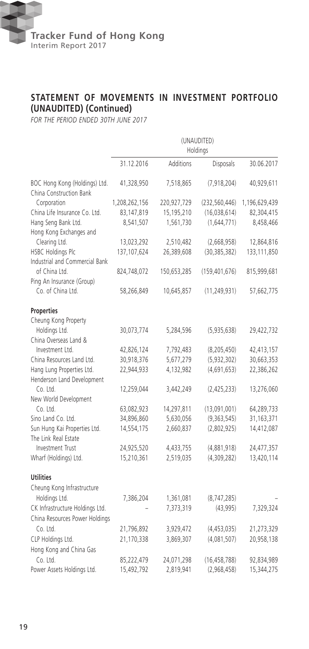

## **STATEMENT OF MOVEMENTS IN INVESTMENT PORTFOLIO (UNAUDITED) (Continued)**

*FOR THE PERIOD ENDED 30TH JUNE 2017*

|                                                          | (UNAUDITED)   |             |                 |               |
|----------------------------------------------------------|---------------|-------------|-----------------|---------------|
|                                                          |               |             | Holdings        |               |
|                                                          | 31.12.2016    | Additions   | Disposals       | 30.06.2017    |
| BOC Hong Kong (Holdings) Ltd.<br>China Construction Bank | 41,328,950    | 7,518,865   | (7, 918, 204)   | 40,929,611    |
| Corporation                                              | 1,208,262,156 | 220,927,729 | (232, 560, 446) | 1,196,629,439 |
| China Life Insurance Co. Ltd.                            | 83,147,819    | 15,195,210  | (16,038,614)    | 82,304,415    |
| Hang Seng Bank Ltd.                                      | 8,541,507     | 1,561,730   | (1,644,771)     | 8,458,466     |
| Hong Kong Exchanges and                                  |               |             |                 |               |
| Clearing Ltd.                                            | 13,023,292    | 2,510,482   | (2,668,958)     | 12,864,816    |
| HSBC Holdings Plc                                        | 137,107,624   | 26,389,608  | (30, 385, 382)  | 133,111,850   |
| Industrial and Commercial Bank                           |               |             |                 |               |
| of China Ltd.                                            | 824,748,072   | 150,653,285 | (159, 401, 676) | 815,999,681   |
| Ping An Insurance (Group)                                |               |             |                 |               |
| Co. of China Ltd.                                        | 58,266,849    | 10,645,857  | (11, 249, 931)  | 57,662,775    |
| Properties                                               |               |             |                 |               |
| Cheung Kong Property                                     |               |             |                 |               |
| Holdings Ltd.                                            | 30,073,774    | 5,284,596   | (5,935,638)     | 29,422,732    |
| China Overseas Land &                                    |               |             |                 |               |
| Investment Ltd.                                          | 42,826,124    | 7,792,483   | (8, 205, 450)   | 42,413,157    |
| China Resources Land Ltd.                                | 30,918,376    | 5,677,279   | (5,932,302)     | 30,663,353    |
| Hang Lung Properties Ltd.                                | 22,944,933    | 4,132,982   | (4,691,653)     | 22,386,262    |
| Henderson Land Development                               |               |             |                 |               |
| Co. Ltd.                                                 | 12,259,044    | 3,442,249   | (2,425,233)     | 13,276,060    |
| New World Development                                    |               |             |                 |               |
| Co. Ltd.                                                 | 63,082,923    | 14,297,811  | (13,091,001)    | 64,289,733    |
| Sino Land Co. Ltd.                                       | 34,896,860    | 5,630,056   | (9,363,545)     | 31,163,371    |
| Sun Hung Kai Properties Ltd.                             | 14,554,175    | 2,660,837   | (2,802,925)     | 14,412,087    |
| The Link Real Estate                                     |               |             |                 |               |
| Investment Trust                                         | 24,925,520    | 4,433,755   | (4,881,918)     | 24,477,357    |
| Wharf (Holdings) Ltd.                                    | 15,210,361    | 2,519,035   | (4,309,282)     | 13,420,114    |
| <b>Utilities</b>                                         |               |             |                 |               |
| Cheung Kong Infrastructure                               |               |             |                 |               |
| Holdings Ltd.                                            | 7,386,204     | 1,361,081   | (8, 747, 285)   |               |
| CK Infrastructure Holdings Ltd.                          |               | 7,373,319   | (43,995)        | 7,329,324     |
| China Resources Power Holdings                           |               |             |                 |               |
| Co. Ltd.                                                 | 21,796,892    | 3,929,472   | (4,453,035)     | 21,273,329    |
| CLP Holdings Ltd.                                        | 21,170,338    | 3,869,307   | (4,081,507)     | 20,958,138    |
| Hong Kong and China Gas                                  |               |             |                 |               |
| Co. Ltd.                                                 | 85,222,479    | 24,071,298  | (16, 458, 788)  | 92,834,989    |
| Power Assets Holdings Ltd.                               | 15,492,792    | 2,819,941   | (2,968,458)     | 15,344,275    |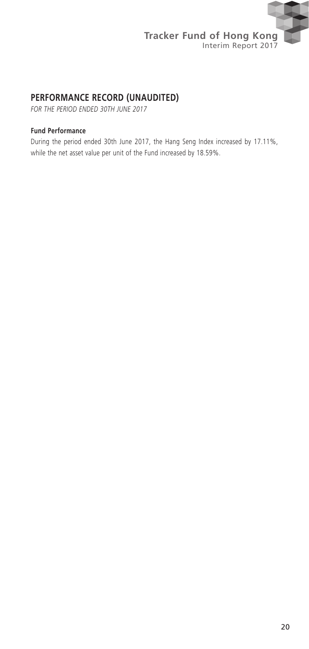

## **PERFORMANCE RECORD (UNAUDITED)**

*FOR THE PERIOD ENDED 30TH June 2017*

#### **Fund Performance**

During the period ended 30th June 2017, the Hang Seng Index increased by 17.11%, while the net asset value per unit of the Fund increased by 18.59%.